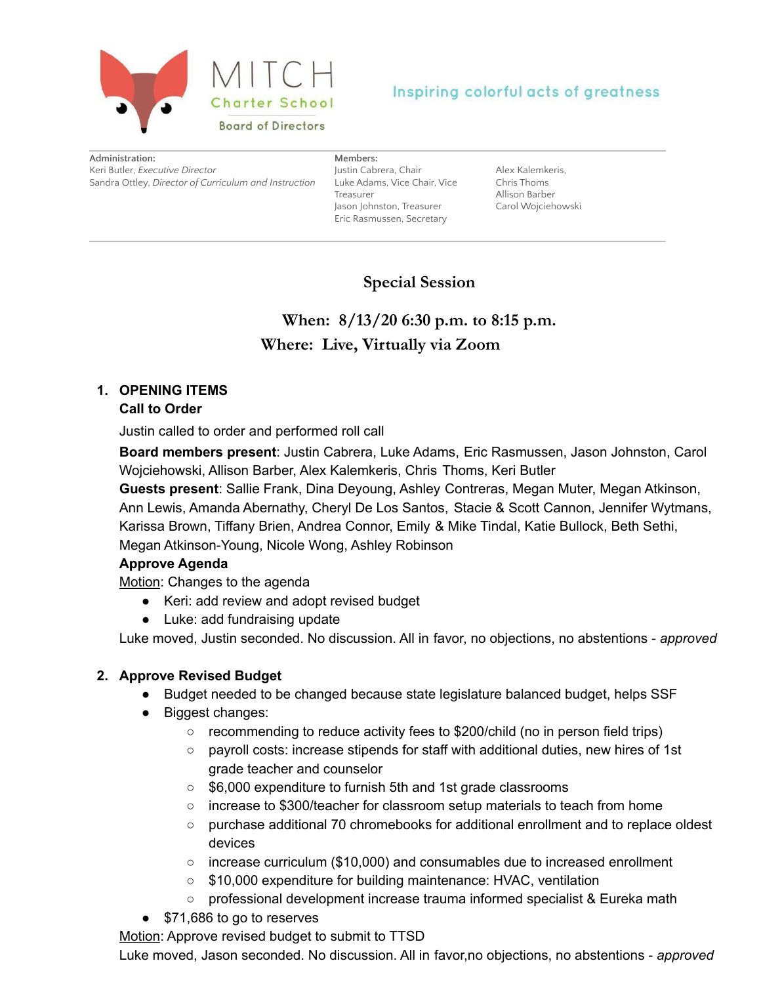

# Inspiring colorful acts of greatness

| Administration:                                       |
|-------------------------------------------------------|
| Keri Butler, Executive Director                       |
| Sandra Ottley, Director of Curriculum and Instruction |

**Members:** Justin Cabrera, Chair Luke Adams, Vice Chair, Vice Treasurer Jason Johnston, Treasurer Eric Rasmussen, Secretary

Alex Kalemkeris, Chris Thoms Allison Barber Carol Wojciehowski

# **Special Session**

**When: 8/13/20 6:30 p.m. to 8:15 p.m. Where: Live, Virtually via Zoom**

# **1. OPENING ITEMS**

#### **Call to Order**

Justin called to order and performed roll call

**Board members present**: Justin Cabrera, Luke Adams, Eric Rasmussen, Jason Johnston, Carol Wojciehowski, Allison Barber, Alex Kalemkeris, Chris Thoms, Keri Butler

**Guests present**: Sallie Frank, Dina Deyoung, Ashley Contreras, Megan Muter, Megan Atkinson, Ann Lewis, Amanda Abernathy, Cheryl De Los Santos, Stacie & Scott Cannon, Jennifer Wytmans, Karissa Brown, Tiffany Brien, Andrea Connor, Emily & Mike Tindal, Katie Bullock, Beth Sethi, Megan Atkinson-Young, Nicole Wong, Ashley Robinson

## **Approve Agenda**

Motion: Changes to the agenda

- Keri: add review and adopt revised budget
- Luke: add fundraising update

Luke moved, Justin seconded. No discussion. All in favor, no objections, no abstentions - *approved*

#### **2. Approve Revised Budget**

- Budget needed to be changed because state legislature balanced budget, helps SSF
- Biggest changes:
	- recommending to reduce activity fees to \$200/child (no in person field trips)
	- payroll costs: increase stipends for staff with additional duties, new hires of 1st grade teacher and counselor
	- \$6,000 expenditure to furnish 5th and 1st grade classrooms
	- increase to \$300/teacher for classroom setup materials to teach from home
	- purchase additional 70 chromebooks for additional enrollment and to replace oldest devices
	- $\circ$  increase curriculum (\$10,000) and consumables due to increased enrollment
	- \$10,000 expenditure for building maintenance: HVAC, ventilation
	- professional development increase trauma informed specialist & Eureka math
- \$71,686 to go to reserves

Motion: Approve revised budget to submit to TTSD

Luke moved, Jason seconded. No discussion. All in favor,no objections, no abstentions - *approved*